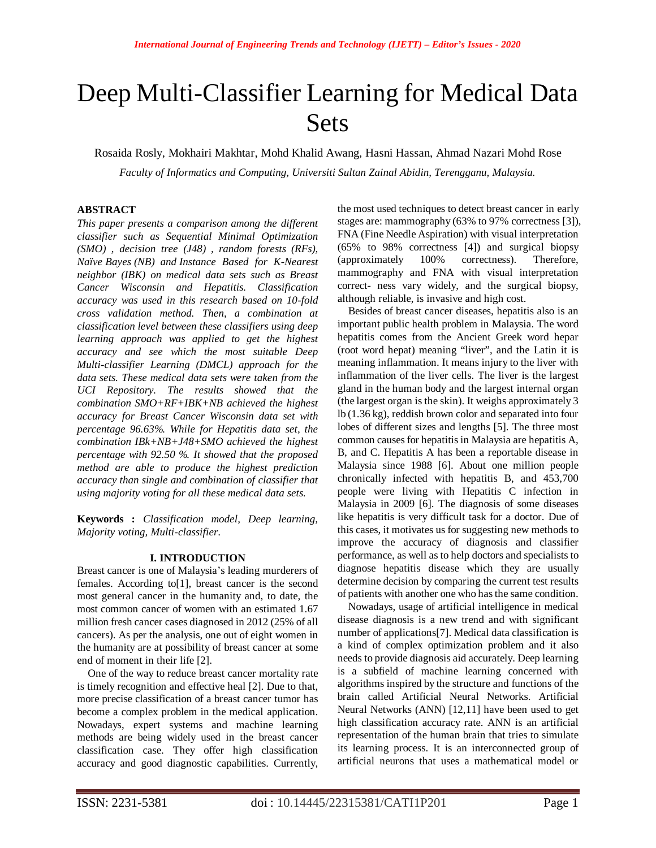# Deep Multi-Classifier Learning for Medical Data Sets

Rosaida Rosly, Mokhairi Makhtar, Mohd Khalid Awang, Hasni Hassan, Ahmad Nazari Mohd Rose

*Faculty of Informatics and Computing, Universiti Sultan Zainal Abidin, Terengganu, Malaysia.*

## **ABSTRACT**

*This paper presents a comparison among the different classifier such as Sequential Minimal Optimization (SMO) , decision tree (J48) , random forests (RFs), Naïve Bayes (NB) and Instance Based for K-Nearest neighbor (IBK) on medical data sets such as Breast Cancer Wisconsin and Hepatitis. Classification accuracy was used in this research based on 10-fold cross validation method. Then, a combination at classification level between these classifiers using deep learning approach was applied to get the highest accuracy and see which the most suitable Deep Multi-classifier Learning (DMCL) approach for the data sets. These medical data sets were taken from the UCI Repository. The results showed that the combination SMO+RF+IBK+NB achieved the highest accuracy for Breast Cancer Wisconsin data set with percentage 96.63%. While for Hepatitis data set, the combination IBk+NB+J48+SMO achieved the highest percentage with 92.50 %. It showed that the proposed method are able to produce the highest prediction accuracy than single and combination of classifier that using majority voting for all these medical data sets.*

**Keywords :** *Classification model, Deep learning, Majority voting, Multi-classifier*.

#### **I. INTRODUCTION**

Breast cancer is one of Malaysia's leading murderers of females. According to[1], breast cancer is the second most general cancer in the humanity and, to date, the most common cancer of women with an estimated 1.67 million fresh cancer cases diagnosed in 2012 (25% of all cancers). As per the analysis, one out of eight women in the humanity are at possibility of breast cancer at some end of moment in their life [2].

One of the way to reduce breast cancer mortality rate is timely recognition and effective heal [2]. Due to that, more precise classification of a breast cancer tumor has become a complex problem in the medical application. Nowadays, expert systems and machine learning methods are being widely used in the breast cancer classification case. They offer high classification accuracy and good diagnostic capabilities. Currently,

the most used techniques to detect breast cancer in early stages are: mammography (63% to 97% correctness [3]), FNA (Fine Needle Aspiration) with visual interpretation (65% to 98% correctness [4]) and surgical biopsy (approximately 100% correctness). Therefore, mammography and FNA with visual interpretation correct- ness vary widely, and the surgical biopsy, although reliable, is invasive and high cost.

Besides of breast cancer diseases, hepatitis also is an important public health problem in Malaysia. The word hepatitis comes from the Ancient Greek word hepar (root word hepat) meaning "liver", and the Latin it is meaning inflammation. It means injury to the liver with inflammation of the liver cells. The liver is the largest gland in the human body and the largest internal organ (the largest organ is the skin). It weighs approximately 3 lb (1.36 kg), reddish brown color and separated into four lobes of different sizes and lengths [5]. The three most common causes for hepatitis in Malaysia are hepatitis A, B, and C. Hepatitis A has been a reportable disease in Malaysia since 1988 [6]. About one million people chronically infected with hepatitis B, and 453,700 people were living with Hepatitis C infection in Malaysia in 2009 [6]. The diagnosis of some diseases like hepatitis is very difficult task for a doctor. Due of this cases, it motivates us for suggesting new methods to improve the accuracy of diagnosis and classifier performance, as well as to help doctors and specialists to diagnose hepatitis disease which they are usually determine decision by comparing the current test results of patients with another one who has the same condition.

Nowadays, usage of artificial intelligence in medical disease diagnosis is a new trend and with significant number of applications[7]. Medical data classification is a kind of complex optimization problem and it also needs to provide diagnosis aid accurately. Deep learning is a subfield of machine learning concerned with algorithms inspired by the structure and functions of the brain called Artificial Neural Networks. Artificial Neural Networks (ANN) [12,11] have been used to get high classification accuracy rate. ANN is an artificial representation of the human brain that tries to simulate its learning process. It is an interconnected group of artificial neurons that uses a mathematical model or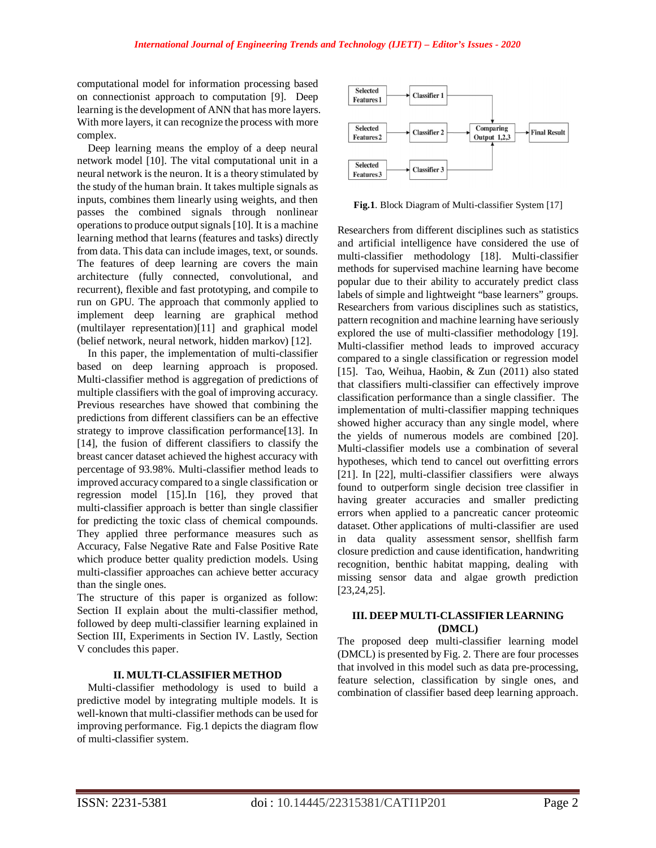computational model for information processing based on connectionist approach to computation [9]. Deep learning is the development of ANN that has more layers. With more layers, it can recognize the process with more complex.

Deep learning means the employ of a deep neural network model [10]. The vital computational unit in a neural network is the neuron. It is a theory stimulated by the study of the human brain. It takes multiple signals as inputs, combines them linearly using weights, and then passes the combined signals through nonlinear operations to produce output signals [10]. It is a machine learning method that learns (features and tasks) directly from data. This data can include images, text, or sounds. The features of deep learning are covers the main architecture (fully connected, convolutional, and recurrent), flexible and fast prototyping, and compile to run on GPU. The approach that commonly applied to implement deep learning are graphical method (multilayer representation)[11] and graphical model (belief network, neural network, hidden markov) [12].

In this paper, the implementation of multi-classifier based on deep learning approach is proposed. Multi-classifier method is aggregation of predictions of multiple classifiers with the goal of improving accuracy. Previous researches have showed that combining the predictions from different classifiers can be an effective strategy to improve classification performance[13]. In [14], the fusion of different classifiers to classify the breast cancer dataset achieved the highest accuracy with percentage of 93.98%. Multi-classifier method leads to improved accuracy compared to a single classification or regression model [15].In [16], they proved that multi-classifier approach is better than single classifier for predicting the toxic class of chemical compounds. They applied three performance measures such as Accuracy, False Negative Rate and False Positive Rate which produce better quality prediction models. Using multi-classifier approaches can achieve better accuracy than the single ones.

The structure of this paper is organized as follow: Section II explain about the multi-classifier method, followed by deep multi-classifier learning explained in Section III, Experiments in Section IV. Lastly, Section V concludes this paper.

## **II. MULTI-CLASSIFIER METHOD**

Multi-classifier methodology is used to build a predictive model by integrating multiple models. It is well-known that multi-classifier methods can be used for improving performance. Fig.1 depicts the diagram flow of multi-classifier system.



**Fig.1**. Block Diagram of Multi-classifier System [17]

Researchers from different disciplines such as statistics and artificial intelligence have considered the use of multi-classifier methodology [18]. Multi-classifier methods for supervised machine learning have become popular due to their ability to accurately predict class labels of simple and lightweight "base learners" groups. Researchers from various disciplines such as statistics, pattern recognition and machine learning have seriously explored the use of multi-classifier methodology [19]. Multi-classifier method leads to improved accuracy compared to a single classification or regression model [15]. Tao, Weihua, Haobin, & Zun (2011) also stated that classifiers multi-classifier can effectively improve classification performance than a single classifier. The implementation of multi-classifier mapping techniques showed higher accuracy than any single model, where the yields of numerous models are combined [20]. Multi-classifier models use a combination of several hypotheses, which tend to cancel out overfitting errors [21]. In [22], multi-classifier classifiers were always found to outperform single decision tree classifier in having greater accuracies and smaller predicting errors when applied to a pancreatic cancer proteomic dataset. Other applications of multi-classifier are used in data quality assessment sensor, shellfish farm closure prediction and cause identification, handwriting recognition, benthic habitat mapping, dealing with missing sensor data and algae growth prediction [23,24,25].

### **III. DEEP MULTI-CLASSIFIER LEARNING (DMCL)**

The proposed deep multi-classifier learning model (DMCL) is presented by Fig. 2. There are four processes that involved in this model such as data pre-processing, feature selection, classification by single ones, and combination of classifier based deep learning approach.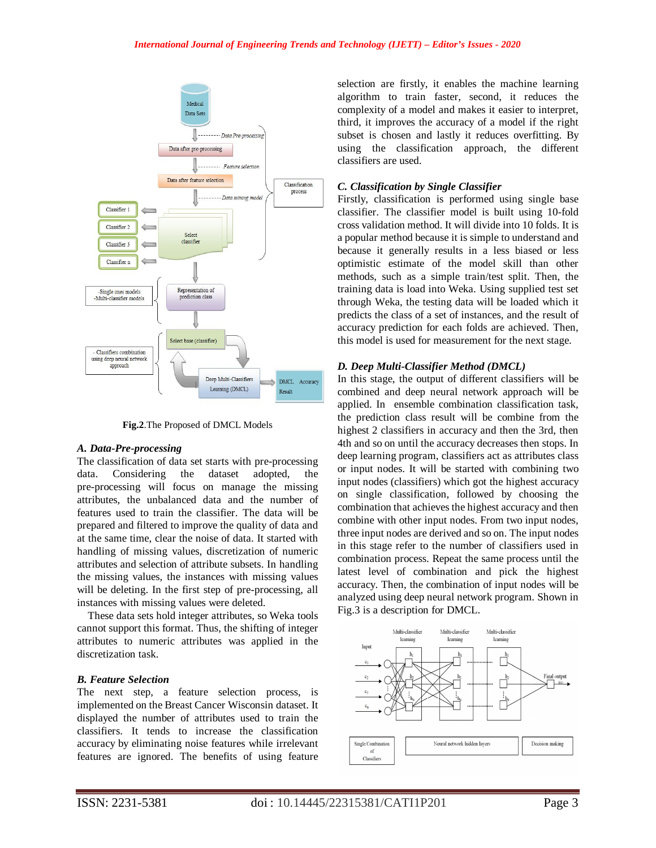

**Fig.2**.The Proposed of DMCL Models

#### *A. Data-Pre-processing*

The classification of data set starts with pre-processing data. Considering the dataset adopted, the pre-processing will focus on manage the missing attributes, the unbalanced data and the number of features used to train the classifier. The data will be prepared and filtered to improve the quality of data and at the same time, clear the noise of data. It started with handling of missing values, discretization of numeric attributes and selection of attribute subsets. In handling the missing values, the instances with missing values will be deleting. In the first step of pre-processing, all instances with missing values were deleted.

These data sets hold integer attributes, so Weka tools cannot support this format. Thus, the shifting of integer attributes to numeric attributes was applied in the discretization task.

## *B. Feature Selection*

The next step, a feature selection process, is implemented on the Breast Cancer Wisconsin dataset. It displayed the number of attributes used to train the classifiers. It tends to increase the classification accuracy by eliminating noise features while irrelevant features are ignored. The benefits of using feature

selection are firstly, it enables the machine learning algorithm to train faster, second, it reduces the complexity of a model and makes it easier to interpret, third, it improves the accuracy of a model if the right subset is chosen and lastly it reduces overfitting. By using the classification approach, the different classifiers are used.

## *C. Classification by Single Classifier*

Firstly, classification is performed using single base classifier. The classifier model is built using 10-fold cross validation method. It will divide into 10 folds. It is a popular method because it is simple to understand and because it generally results in a less biased or less optimistic estimate of the model skill than other methods, such as a simple train/test split. Then, the training data is load into Weka. Using supplied test set through Weka, the testing data will be loaded which it predicts the class of a set of instances, and the result of accuracy prediction for each folds are achieved. Then, this model is used for measurement for the next stage.

## *D. Deep Multi-Classifier Method (DMCL)*

In this stage, the output of different classifiers will be combined and deep neural network approach will be applied. In ensemble combination classification task, the prediction class result will be combine from the highest 2 classifiers in accuracy and then the 3rd, then 4th and so on until the accuracy decreases then stops. In deep learning program, classifiers act as attributes class or input nodes. It will be started with combining two input nodes (classifiers) which got the highest accuracy on single classification, followed by choosing the combination that achieves the highest accuracy and then combine with other input nodes. From two input nodes, three input nodes are derived and so on. The input nodes in this stage refer to the number of classifiers used in combination process. Repeat the same process until the latest level of combination and pick the highest accuracy. Then, the combination of input nodes will be analyzed using deep neural network program. Shown in Fig.3 is a description for DMCL.

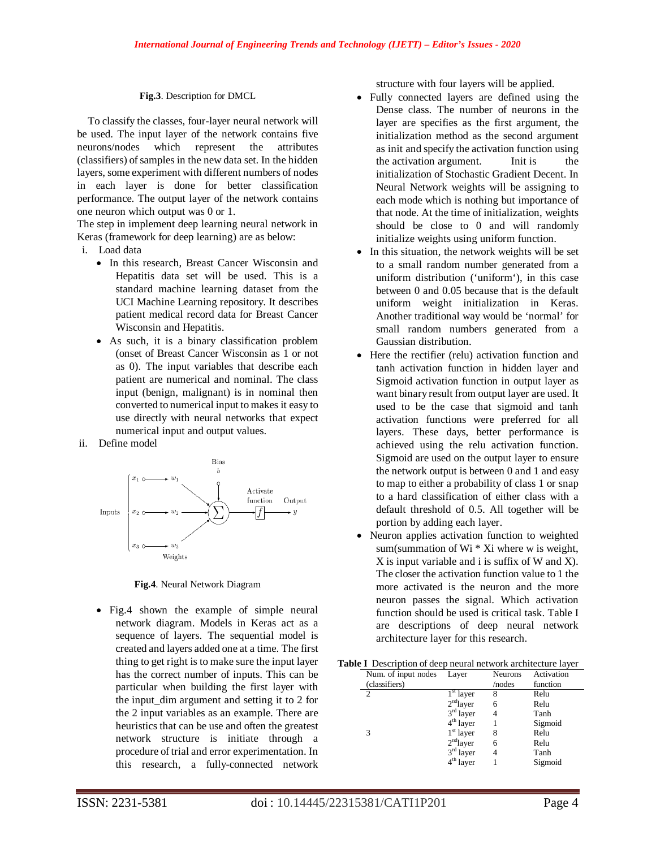### **Fig.3**. Description for DMCL

To classify the classes, four-layer neural network will be used. The input layer of the network contains five neurons/nodes which represent the attributes (classifiers) of samples in the new data set. In the hidden layers, some experiment with different numbers of nodes in each layer is done for better classification performance. The output layer of the network contains one neuron which output was 0 or 1.

The step in implement deep learning neural network in Keras (framework for deep learning) are as below:

- i. Load data
	- In this research, Breast Cancer Wisconsin and Hepatitis data set will be used. This is a standard machine learning dataset from the UCI Machine Learning repository. It describes patient medical record data for Breast Cancer Wisconsin and Hepatitis.
	- As such, it is a binary classification problem (onset of Breast Cancer Wisconsin as 1 or not as 0). The input variables that describe each patient are numerical and nominal. The class input (benign, malignant) is in nominal then converted to numerical input to makes it easy to use directly with neural networks that expect numerical input and output values.
- ii. Define model



**Fig.4**. Neural Network Diagram

 Fig.4 shown the example of simple neural network diagram. Models in Keras act as a sequence of layers. The sequential model is created and layers added one at a time. The first thing to get right is to make sure the input layer has the correct number of inputs. This can be particular when building the first layer with the input\_dim argument and setting it to 2 for the 2 input variables as an example. There are heuristics that can be use and often the greatest network structure is initiate through a procedure of trial and error experimentation. In this research, a fully-connected network structure with four layers will be applied.

- Fully connected layers are defined using the Dense class. The number of neurons in the layer are specifies as the first argument, the initialization method as the second argument as init and specify the activation function using the activation argument. Init is the initialization of Stochastic Gradient Decent. In Neural Network weights will be assigning to each mode which is nothing but importance of that node. At the time of initialization, weights should be close to 0 and will randomly initialize weights using uniform function.
- In this situation, the network weights will be set to a small random number generated from a uniform distribution ('uniform'), in this case between 0 and 0.05 because that is the default uniform weight initialization in Keras. Another traditional way would be 'normal' for small random numbers generated from a Gaussian distribution.
- Here the rectifier (relu) activation function and tanh activation function in hidden layer and Sigmoid activation function in output layer as want binary result from output layer are used. It used to be the case that sigmoid and tanh activation functions were preferred for all layers. These days, better performance is achieved using the relu activation function. Sigmoid are used on the output layer to ensure the network output is between 0 and 1 and easy to map to either a probability of class 1 or snap to a hard classification of either class with a default threshold of 0.5. All together will be portion by adding each layer.
- Neuron applies activation function to weighted sum(summation of Wi  $*$  Xi where w is weight, X is input variable and i is suffix of W and X). The closer the activation function value to 1 the more activated is the neuron and the more neuron passes the signal. Which activation function should be used is critical task. Table I are descriptions of deep neural network architecture layer for this research.

|  |  |  |  |  |  |  | <b>Table I</b> Description of deep neural network architecture layer |  |
|--|--|--|--|--|--|--|----------------------------------------------------------------------|--|
|--|--|--|--|--|--|--|----------------------------------------------------------------------|--|

| ie i Beschiption of deep hearaf herwork aremitecture fuyer |                     |             |                |            |  |  |
|------------------------------------------------------------|---------------------|-------------|----------------|------------|--|--|
|                                                            | Num. of input nodes | Layer       | <b>Neurons</b> | Activation |  |  |
|                                                            | (classifiers)       |             | /nodes         | function   |  |  |
|                                                            | $\overline{2}$      | $1st$ layer | 8              | Relu       |  |  |
|                                                            |                     | $2nd$ layer | 6              | Relu       |  |  |
|                                                            |                     | $3rd$ layer | 4              | Tanh       |  |  |
|                                                            |                     | $4th$ layer |                | Sigmoid    |  |  |
|                                                            | 3                   | $1st$ layer | 8              | Relu       |  |  |
|                                                            |                     | $2nd$ layer | 6              | Relu       |  |  |
|                                                            |                     | $3rd$ layer | 4              | Tanh       |  |  |
|                                                            |                     | $4th$ layer |                | Sigmoid    |  |  |
|                                                            |                     |             |                |            |  |  |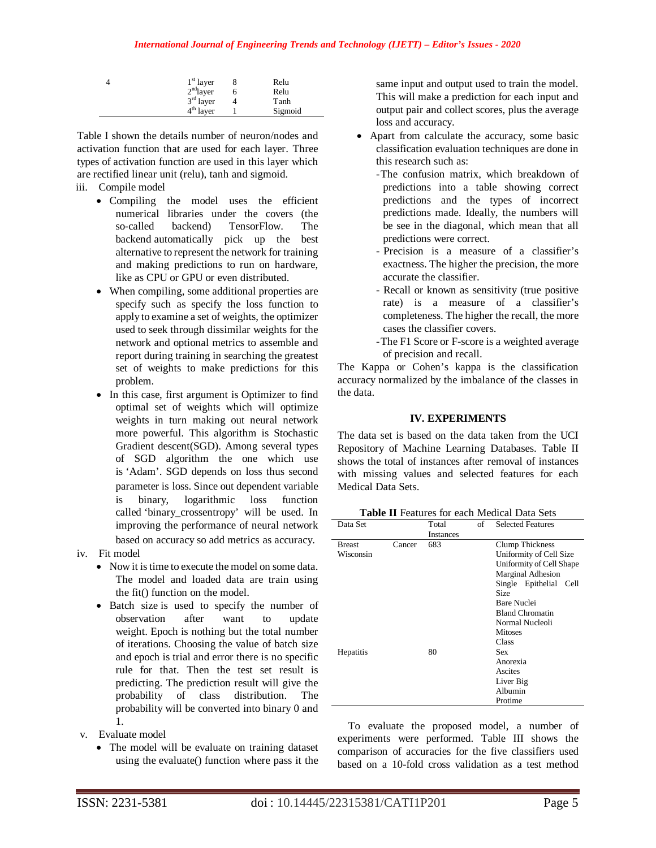| $1st$ layer | Relu    |
|-------------|---------|
| $2nd$ layer | Relu    |
| $3rd$ layer | Tanh    |
| $4th$ layer | Sigmoid |

Table I shown the details number of neuron/nodes and activation function that are used for each layer. Three types of activation function are used in this layer which are rectified linear unit (relu), tanh and sigmoid.

- iii. Compile model
	- Compiling the model uses the efficient numerical libraries under the covers (the so-called backend) TensorFlow. The backend automatically pick up the best alternative to represent the network for training and making predictions to run on hardware, like as CPU or GPU or even distributed.
	- When compiling, some additional properties are specify such as specify the loss function to apply to examine a set of weights, the optimizer used to seek through dissimilar weights for the network and optional metrics to assemble and report during training in searching the greatest set of weights to make predictions for this problem.
	- In this case, first argument is Optimizer to find optimal set of weights which will optimize weights in turn making out neural network more powerful. This algorithm is Stochastic Gradient descent(SGD). Among several types of SGD algorithm the one which use is 'Adam'. SGD depends on loss thus second parameter is loss. Since out dependent variable is binary, logarithmic loss function called 'binary\_crossentropy' will be used. In improving the performance of neural network based on accuracy so add metrics as accuracy.
- iv. Fit model
	- Now it is time to execute the model on some data. The model and loaded data are train using the fit() function on the model.
	- Batch size is used to specify the number of observation after want to update weight. Epoch is nothing but the total number of iterations. Choosing the value of batch size and epoch is trial and error there is no specific rule for that. Then the test set result is predicting. The prediction result will give the probability of class distribution. The probability will be converted into binary 0 and 1.
- v. Evaluate model
	- The model will be evaluate on training dataset using the evaluate() function where pass it the

same input and output used to train the model. This will make a prediction for each input and output pair and collect scores, plus the average loss and accuracy.

- Apart from calculate the accuracy, some basic classification evaluation techniques are done in this research such as:
	- -The confusion matrix, which breakdown of predictions into a table showing correct predictions and the types of incorrect predictions made. Ideally, the numbers will be see in the diagonal, which mean that all predictions were correct.
	- Precision is a measure of a classifier's exactness. The higher the precision, the more accurate the classifier.
	- Recall or known as sensitivity (true positive rate) is a measure of a classifier's completeness. The higher the recall, the more cases the classifier covers.
	- -The F1 Score or F-score is a weighted average of precision and recall.

The Kappa or Cohen's kappa is the classification accuracy normalized by the imbalance of the classes in the data.

## **IV. EXPERIMENTS**

The data set is based on the data taken from the UCI Repository of Machine Learning Databases. Table II shows the total of instances after removal of instances with missing values and selected features for each Medical Data Sets.

| Data Set      |        | Total            | of | <b>Selected Features</b> |
|---------------|--------|------------------|----|--------------------------|
|               |        | <b>Instances</b> |    |                          |
| <b>Breast</b> | Cancer | 683              |    | Clump Thickness          |
| Wisconsin     |        |                  |    | Uniformity of Cell Size  |
|               |        |                  |    | Uniformity of Cell Shape |
|               |        |                  |    | <b>Marginal Adhesion</b> |
|               |        |                  |    | Single Epithelial Cell   |
|               |        |                  |    | Size                     |
|               |        |                  |    | <b>Bare Nuclei</b>       |
|               |        |                  |    | <b>Bland Chromatin</b>   |
|               |        |                  |    | Normal Nucleoli          |
|               |        |                  |    | <b>Mitoses</b>           |
|               |        |                  |    | Class                    |
| Hepatitis     |        | 80               |    | Sex                      |
|               |        |                  |    | Anorexia                 |
|               |        |                  |    | Ascites                  |
|               |        |                  |    | Liver Big                |
|               |        |                  |    | Albumin                  |
|               |        |                  |    | Protime                  |

To evaluate the proposed model, a number of experiments were performed. Table III shows the comparison of accuracies for the five classifiers used based on a 10-fold cross validation as a test method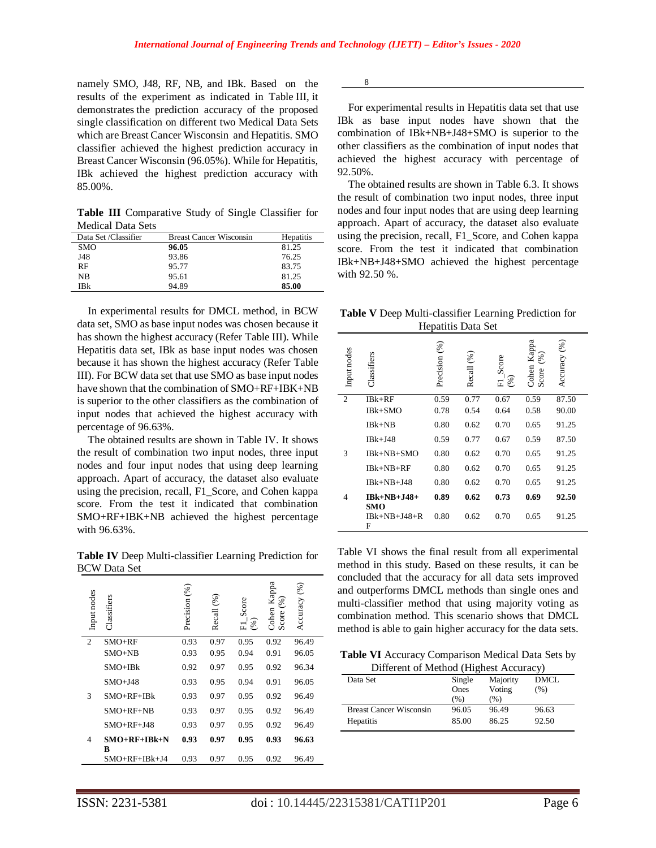namely SMO, J48, RF, NB, and IBk. Based on the results of the experiment as indicated in Table III, it demonstrates the prediction accuracy of the proposed single classification on different two Medical Data Sets which are Breast Cancer Wisconsin and Hepatitis. SMO classifier achieved the highest prediction accuracy in Breast Cancer Wisconsin (96.05%). While for Hepatitis, IBk achieved the highest prediction accuracy with 85.00%.

**Table III** Comparative Study of Single Classifier for Medical Data Sets

| Data Set /Classifier | <b>Breast Cancer Wisconsin</b> | <b>Hepatitis</b> |
|----------------------|--------------------------------|------------------|
| SMO                  | 96.05                          | 81.25            |
| J48                  | 93.86                          | 76.25            |
| RF                   | 95.77                          | 83.75            |
| NB                   | 95.61                          | 81.25            |
| IBk                  | 94.89                          | 85.00            |

In experimental results for DMCL method, in BCW data set, SMO as base input nodes was chosen because it has shown the highest accuracy (Refer Table III). While Hepatitis data set, IBk as base input nodes was chosen because it has shown the highest accuracy (Refer Table III). For BCW data set that use SMO as base input nodes have shown that the combination of SMO+RF+IBK+NB is superior to the other classifiers as the combination of input nodes that achieved the highest accuracy with percentage of 96.63%.

The obtained results are shown in Table IV. It shows the result of combination two input nodes, three input nodes and four input nodes that using deep learning approach. Apart of accuracy, the dataset also evaluate using the precision, recall, F1\_Score, and Cohen kappa score. From the test it indicated that combination SMO+RF+IBK+NB achieved the highest percentage with 96.63%.

**Table IV** Deep Multi-classifier Learning Prediction for BCW Data Set

| Input nodes    | Classifiers         | Precision (%) | Recall (%) | Score<br>$(\%)$<br>匸 | Cohen Kappa<br>$(\%)$<br>Score | Accuracy (%) |
|----------------|---------------------|---------------|------------|----------------------|--------------------------------|--------------|
| $\overline{2}$ | $SMO+RF$            | 0.93          | 0.97       | 0.95                 | 0.92                           | 96.49        |
|                | $SMO+NB$            | 0.93          | 0.95       | 0.94                 | 0.91                           | 96.05        |
|                | $SMO+IBk$           | 0.92          | 0.97       | 0.95                 | 0.92                           | 96.34        |
|                | $SMO+J48$           | 0.93          | 0.95       | 0.94                 | 0.91                           | 96.05        |
| 3              | $SMO+RF+IBk$        | 0.93          | 0.97       | 0.95                 | 0.92                           | 96.49        |
|                | $SMO+RF+NB$         | 0.93          | 0.97       | 0.95                 | 0.92                           | 96.49        |
|                | $SMO+RF+J48$        | 0.93          | 0.97       | 0.95                 | 0.92                           | 96.49        |
| 4              | $SMO+RF+IBk+N$<br>в | 0.93          | 0.97       | 0.95                 | 0.93                           | 96.63        |
|                | $SMO+RF+IBk+J4$     | 0.93          | 0.97       | 0.95                 | 0.92                           | 96.49        |

8

For experimental results in Hepatitis data set that use IBk as base input nodes have shown that the combination of IBk+NB+J48+SMO is superior to the other classifiers as the combination of input nodes that achieved the highest accuracy with percentage of 92.50%.

The obtained results are shown in Table 6.3. It shows the result of combination two input nodes, three input nodes and four input nodes that are using deep learning approach. Apart of accuracy, the dataset also evaluate using the precision, recall, F1\_Score, and Cohen kappa score. From the test it indicated that combination IBk+NB+J48+SMO achieved the highest percentage with 92.50 %.

**Table V** Deep Multi-classifier Learning Prediction for Hepatitis Data Set

| Input nodes    | Classifiers               | Precision (%) | $\mathscr{E}$<br>Recall | Score<br>$\infty$<br>司 | Cohen Kappa<br>$(\%)$<br>Score | Accuracy $(\%$ |
|----------------|---------------------------|---------------|-------------------------|------------------------|--------------------------------|----------------|
| $\overline{2}$ | $IBk+RF$                  | 0.59          | 0.77                    | 0.67                   | 0.59                           | 87.50          |
|                | IBk+SMO                   | 0.78          | 0.54                    | 0.64                   | 0.58                           | 90.00          |
|                | $IBk+NB$                  | 0.80          | 0.62                    | 0.70                   | 0.65                           | 91.25          |
|                | $IBk+J48$                 | 0.59          | 0.77                    | 0.67                   | 0.59                           | 87.50          |
| 3              | IBk+NB+SMO                | 0.80          | 0.62                    | 0.70                   | 0.65                           | 91.25          |
|                | $IBk+NB+RF$               | 0.80          | 0.62                    | 0.70                   | 0.65                           | 91.25          |
|                | $IBk+NB+J48$              | 0.80          | 0.62                    | 0.70                   | 0.65                           | 91.25          |
| 4              | IBk+NB+J48+<br><b>SMO</b> | 0.89          | 0.62                    | 0.73                   | 0.69                           | 92.50          |
|                | $IBk+NB+J48+R$<br>F       | 0.80          | 0.62                    | 0.70                   | 0.65                           | 91.25          |

Table VI shows the final result from all experimental method in this study. Based on these results, it can be concluded that the accuracy for all data sets improved and outperforms DMCL methods than single ones and multi-classifier method that using majority voting as combination method. This scenario shows that DMCL method is able to gain higher accuracy for the data sets.

**Table VI** Accuracy Comparison Medical Data Sets by Different of Method (Highest Accuracy)

| Single | Majority | DMCL  |  |  |  |  |
|--------|----------|-------|--|--|--|--|
| Ones   | Voting   | (% )  |  |  |  |  |
| $($ %) | (%)      |       |  |  |  |  |
| 96.05  | 96.49    | 96.63 |  |  |  |  |
| 85.00  | 86.25    | 92.50 |  |  |  |  |
|        |          |       |  |  |  |  |